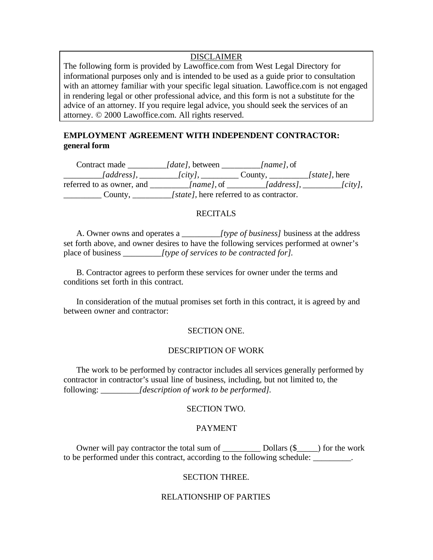## DISCLAIMER

The following form is provided by Lawoffice.com from West Legal Directory for informational purposes only and is intended to be used as a guide prior to consultation with an attorney familiar with your specific legal situation. Lawoffice.com is not engaged in rendering legal or other professional advice, and this form is not a substitute for the advice of an attorney. If you require legal advice, you should seek the services of an attorney. © 2000 Lawoffice.com. All rights reserved.

# **EMPLOYMENT AGREEMENT WITH INDEPENDENT CONTRACTOR: general form**

Contract made *\_\_\_\_\_\_\_\_\_[date],* between *\_\_\_\_\_\_\_\_\_[name],* of *\_\_\_\_\_\_\_\_\_[address], \_\_\_\_\_\_\_\_\_[city],* \_\_\_\_\_\_\_\_\_ County, *\_\_\_\_\_\_\_\_\_[state],* here referred to as owner, and *\_\_\_\_\_\_\_\_\_[name],* of *\_\_\_\_\_\_\_\_\_[address], \_\_\_\_\_\_\_\_\_[city],* \_\_\_\_\_\_\_\_\_ County, *\_\_\_\_\_\_\_\_\_[state],* here referred to as contractor.

## **RECITALS**

A. Owner owns and operates a *\_\_\_\_\_\_\_\_\_[type of business]* business at the address set forth above, and owner desires to have the following services performed at owner's place of business *\_\_\_\_\_\_\_\_\_[type of services to be contracted for].*

B. Contractor agrees to perform these services for owner under the terms and conditions set forth in this contract.

In consideration of the mutual promises set forth in this contract, it is agreed by and between owner and contractor:

## SECTION ONE.

## DESCRIPTION OF WORK

The work to be performed by contractor includes all services generally performed by contractor in contractor's usual line of business, including, but not limited to, the following: *\_\_\_\_\_\_\_\_\_[description of work to be performed].*

### SECTION TWO.

## PAYMENT

Owner will pay contractor the total sum of \_\_\_\_\_\_\_\_\_ Dollars (\$\_\_\_\_\_) for the work to be performed under this contract, according to the following schedule: \_\_\_\_\_\_\_\_\_.

#### SECTION THREE.

#### RELATIONSHIP OF PARTIES